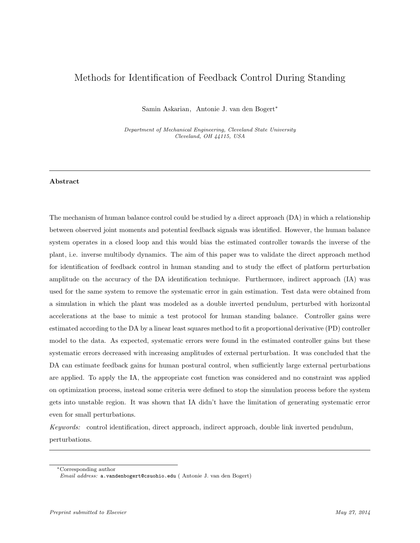# Methods for Identification of Feedback Control During Standing

Samin Askarian, Antonie J. van den Bogert<sup>∗</sup>

Department of Mechanical Engineering, Cleveland State University Cleveland, OH 44115, USA

# Abstract

The mechanism of human balance control could be studied by a direct approach (DA) in which a relationship between observed joint moments and potential feedback signals was identified. However, the human balance system operates in a closed loop and this would bias the estimated controller towards the inverse of the plant, i.e. inverse multibody dynamics. The aim of this paper was to validate the direct approach method for identification of feedback control in human standing and to study the effect of platform perturbation amplitude on the accuracy of the DA identification technique. Furthermore, indirect approach (IA) was used for the same system to remove the systematic error in gain estimation. Test data were obtained from a simulation in which the plant was modeled as a double inverted pendulum, perturbed with horizontal accelerations at the base to mimic a test protocol for human standing balance. Controller gains were estimated according to the DA by a linear least squares method to fit a proportional derivative (PD) controller model to the data. As expected, systematic errors were found in the estimated controller gains but these systematic errors decreased with increasing amplitudes of external perturbation. It was concluded that the DA can estimate feedback gains for human postural control, when sufficiently large external perturbations are applied. To apply the IA, the appropriate cost function was considered and no constraint was applied on optimization process, instead some criteria were defined to stop the simulation process before the system gets into unstable region. It was shown that IA didn't have the limitation of generating systematic error even for small perturbations.

Keywords: control identification, direct approach, indirect approach, double link inverted pendulum, perturbations.

<sup>∗</sup>Corresponding author

Email address: a.vandenbogert@csuohio.edu ( Antonie J. van den Bogert)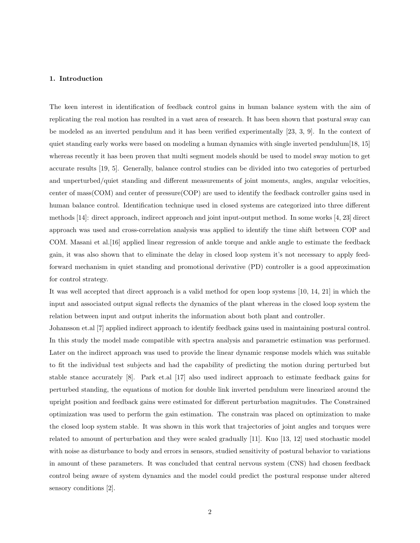#### 1. Introduction

The keen interest in identification of feedback control gains in human balance system with the aim of replicating the real motion has resulted in a vast area of research. It has been shown that postural sway can be modeled as an inverted pendulum and it has been verified experimentally [23, 3, 9]. In the context of quiet standing early works were based on modeling a human dynamics with single inverted pendulum [18, 15] whereas recently it has been proven that multi segment models should be used to model sway motion to get accurate results [19, 5]. Generally, balance control studies can be divided into two categories of perturbed and unperturbed/quiet standing and different measurements of joint moments, angles, angular velocities, center of mass(COM) and center of pressure(COP) are used to identify the feedback controller gains used in human balance control. Identification technique used in closed systems are categorized into three different methods [14]: direct approach, indirect approach and joint input-output method. In some works [4, 23] direct approach was used and cross-correlation analysis was applied to identify the time shift between COP and COM. Masani et al.[16] applied linear regression of ankle torque and ankle angle to estimate the feedback gain, it was also shown that to eliminate the delay in closed loop system it's not necessary to apply feedforward mechanism in quiet standing and promotional derivative (PD) controller is a good approximation for control strategy.

It was well accepted that direct approach is a valid method for open loop systems [10, 14, 21] in which the input and associated output signal reflects the dynamics of the plant whereas in the closed loop system the relation between input and output inherits the information about both plant and controller.

Johansson et.al [7] applied indirect approach to identify feedback gains used in maintaining postural control. In this study the model made compatible with spectra analysis and parametric estimation was performed. Later on the indirect approach was used to provide the linear dynamic response models which was suitable to fit the individual test subjects and had the capability of predicting the motion during perturbed but stable stance accurately [8]. Park et.al [17] also used indirect approach to estimate feedback gains for perturbed standing, the equations of motion for double link inverted pendulum were linearized around the upright position and feedback gains were estimated for different perturbation magnitudes. The Constrained optimization was used to perform the gain estimation. The constrain was placed on optimization to make the closed loop system stable. It was shown in this work that trajectories of joint angles and torques were related to amount of perturbation and they were scaled gradually [11]. Kuo [13, 12] used stochastic model with noise as disturbance to body and errors in sensors, studied sensitivity of postural behavior to variations in amount of these parameters. It was concluded that central nervous system (CNS) had chosen feedback control being aware of system dynamics and the model could predict the postural response under altered sensory conditions [2].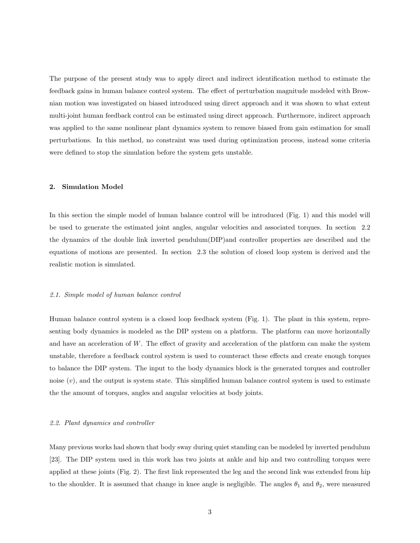The purpose of the present study was to apply direct and indirect identification method to estimate the feedback gains in human balance control system. The effect of perturbation magnitude modeled with Brownian motion was investigated on biased introduced using direct approach and it was shown to what extent multi-joint human feedback control can be estimated using direct approach. Furthermore, indirect approach was applied to the same nonlinear plant dynamics system to remove biased from gain estimation for small perturbations. In this method, no constraint was used during optimization process, instead some criteria were defined to stop the simulation before the system gets unstable.

#### 2. Simulation Model

In this section the simple model of human balance control will be introduced (Fig. 1) and this model will be used to generate the estimated joint angles, angular velocities and associated torques. In section 2.2 the dynamics of the double link inverted pendulum(DIP)and controller properties are described and the equations of motions are presented. In section 2.3 the solution of closed loop system is derived and the realistic motion is simulated.

#### 2.1. Simple model of human balance control

Human balance control system is a closed loop feedback system (Fig. 1). The plant in this system, representing body dynamics is modeled as the DIP system on a platform. The platform can move horizontally and have an acceleration of  $W$ . The effect of gravity and acceleration of the platform can make the system unstable, therefore a feedback control system is used to counteract these effects and create enough torques to balance the DIP system. The input to the body dynamics block is the generated torques and controller noise  $(v)$ , and the output is system state. This simplified human balance control system is used to estimate the the amount of torques, angles and angular velocities at body joints.

#### 2.2. Plant dynamics and controller

Many previous works had shown that body sway during quiet standing can be modeled by inverted pendulum [23]. The DIP system used in this work has two joints at ankle and hip and two controlling torques were applied at these joints (Fig. 2). The first link represented the leg and the second link was extended from hip to the shoulder. It is assumed that change in knee angle is negligible. The angles  $\theta_1$  and  $\theta_2$ , were measured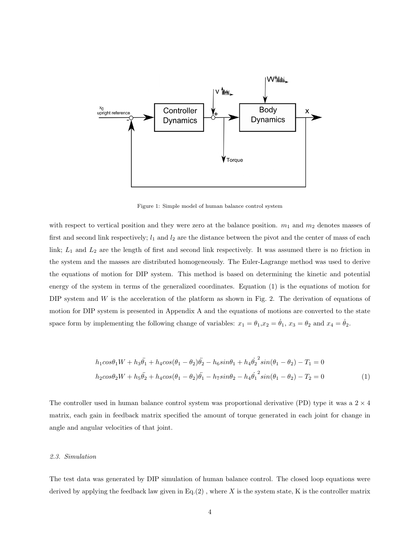

Figure 1: Simple model of human balance control system

with respect to vertical position and they were zero at the balance position.  $m_1$  and  $m_2$  denotes masses of first and second link respectively;  $l_1$  and  $l_2$  are the distance between the pivot and the center of mass of each link;  $L_1$  and  $L_2$  are the length of first and second link respectively. It was assumed there is no friction in the system and the masses are distributed homogeneously. The Euler-Lagrange method was used to derive the equations of motion for DIP system. This method is based on determining the kinetic and potential energy of the system in terms of the generalized coordinates. Equation (1) is the equations of motion for DIP system and W is the acceleration of the platform as shown in Fig. 2. The derivation of equations of motion for DIP system is presented in Appendix A and the equations of motions are converted to the state space form by implementing the following change of variables:  $x_1 = \theta_1, x_2 = \dot{\theta}_1, x_3 = \theta_2$  and  $x_4 = \dot{\theta}_2$ .

$$
h_1 \cos\theta_1 W + h_3 \ddot{\theta_1} + h_4 \cos(\theta_1 - \theta_2) \ddot{\theta_2} - h_6 \sin\theta_1 + h_4 \dot{\theta_2}^2 \sin(\theta_1 - \theta_2) - T_1 = 0
$$
  

$$
h_2 \cos\theta_2 W + h_5 \ddot{\theta_2} + h_4 \cos(\theta_1 - \theta_2) \ddot{\theta_1} - h_7 \sin\theta_2 - h_4 \dot{\theta_1}^2 \sin(\theta_1 - \theta_2) - T_2 = 0
$$
 (1)

The controller used in human balance control system was proportional derivative (PD) type it was a  $2 \times 4$ matrix, each gain in feedback matrix specified the amount of torque generated in each joint for change in angle and angular velocities of that joint.

## 2.3. Simulation

The test data was generated by DIP simulation of human balance control. The closed loop equations were derived by applying the feedback law given in  $Eq.(2)$ , where X is the system state, K is the controller matrix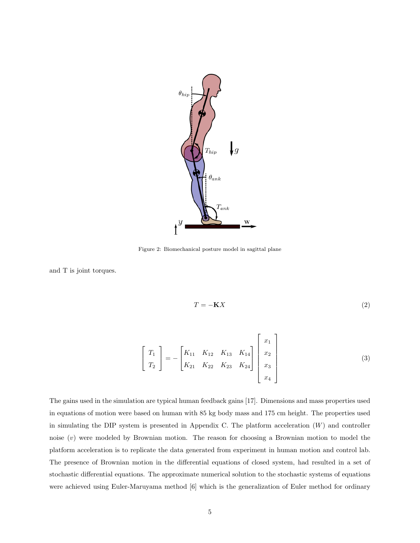

Figure 2: Biomechanical posture model in sagittal plane

and T is joint torques.

$$
T = -\mathbf{K}X\tag{2}
$$

$$
\begin{bmatrix} T_1 \\ T_2 \end{bmatrix} = - \begin{bmatrix} K_{11} & K_{12} & K_{13} & K_{14} \\ K_{21} & K_{22} & K_{23} & K_{24} \end{bmatrix} \begin{bmatrix} x_1 \\ x_2 \\ x_3 \\ x_4 \end{bmatrix}
$$
 (3)

The gains used in the simulation are typical human feedback gains [17]. Dimensions and mass properties used in equations of motion were based on human with 85 kg body mass and 175 cm height. The properties used in simulating the DIP system is presented in Appendix C. The platform acceleration  $(W)$  and controller noise  $(v)$  were modeled by Brownian motion. The reason for choosing a Brownian motion to model the platform acceleration is to replicate the data generated from experiment in human motion and control lab. The presence of Brownian motion in the differential equations of closed system, had resulted in a set of stochastic differential equations. The approximate numerical solution to the stochastic systems of equations were achieved using Euler-Maruyama method [6] which is the generalization of Euler method for ordinary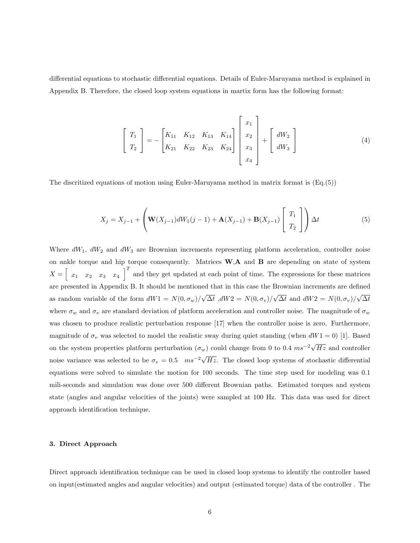differential equations to stochastic differential equations. Details of Euler-Maruyama method is explained in Appendix B. Therefore, the closed loop system equations in martix form has the following format:

$$
\begin{bmatrix} T_1 \\ T_2 \end{bmatrix} = - \begin{bmatrix} K_{11} & K_{12} & K_{13} & K_{14} \\ K_{21} & K_{22} & K_{23} & K_{24} \end{bmatrix} \begin{bmatrix} x_1 \\ x_2 \\ x_3 \\ x_4 \end{bmatrix} + \begin{bmatrix} dW_2 \\ dW_3 \end{bmatrix}
$$
 (4)

The discritized equations of motion using Euler-Maruyama method in matrix format is (Eq.(5))

$$
X_j = X_{j-1} + \left(\mathbf{W}(X_{j-1})dW_1(j-1) + \mathbf{A}(X_{j-1}) + \mathbf{B}(X_{j-1})\begin{bmatrix} T_1 \\ T_2 \end{bmatrix}\right) \Delta t
$$
 (5)

Where  $dW_1$ ,  $dW_2$  and  $dW_3$  are Brownian increments representing platform acceleration, controller noise on ankle torque and hip torque consequently. Matrices W,A and B are depending on state of system  $X = \begin{bmatrix} x_1 & x_2 & x_3 & x_4 \end{bmatrix}^T$  and they get updated at each point of time. The expressions for these matrices are presented in Appendix B. It should be mentioned that in this case the Brownian increments are defined as random variable of the form  $dW1 = N(0, \sigma_w)/$ √  $\Delta t$ ,  $dW2 = N(0, \sigma_v)/$ √  $\Delta t$  and  $dW2 = N(0, \sigma_v)/$ √  $\Delta t$ where  $\sigma_w$  and  $\sigma_v$  are standard deviation of platform acceleration and controller noise. The magnitude of  $\sigma_w$ was chosen to produce realistic perturbation response [17] when the controller noise is zero. Furthermore, magnitude of  $\sigma_v$  was selected to model the realistic sway during quiet standing (when  $dW1 = 0$ ) [1]. Based on the system properties platform perturbation  $(\sigma_w)$  could change from 0 to 0.4  $ms^{-2}\sqrt{ }$  $Hz$  and controller noise variance was selected to be  $\sigma_v = 0.5$  ms<sup>-2</sup> $\sqrt{\frac{m}{m}}$ Hz. The closed loop systems of stochastic differential equations were solved to simulate the motion for 100 seconds. The time step used for modeling was 0.1 mili-seconds and simulation was done over 500 different Brownian paths. Estimated torques and system state (angles and angular velocities of the joints) were sampled at 100 Hz. This data was used for direct approach identification technique.

## 3. Direct Approach

Direct approach identification technique can be used in closed loop systems to identify the controller based on input(estimated angles and angular velocities) and output (estimated torque) data of the controller . The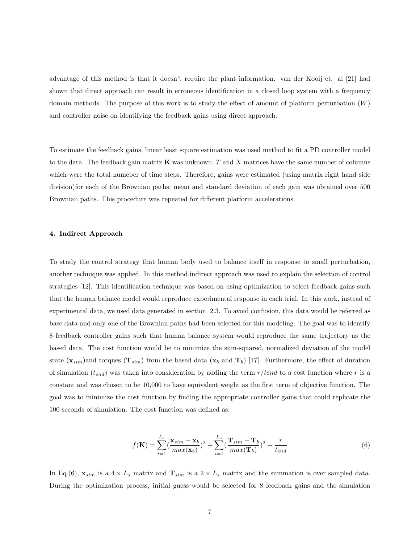advantage of this method is that it doesn't require the plant information. van der Kooij et. al [21] had shown that direct approach can result in erroneous identification in a closed loop system with a frequency domain methods. The purpose of this work is to study the effect of amount of platform perturbation  $(W)$ and controller noise on identifying the feedback gains using direct approach.

To estimate the feedback gains, linear least square estimation was used method to fit a PD controller model to the data. The feedback gain matrix  $\bf{K}$  was unknown, T and X matrices have the same number of columns which were the total numeber of time steps. Therefore, gains were estimated (using matrix right hand side division)for each of the Brownian paths; mean and standard deviation of each gain was obtained over 500 Brownian paths. This procedure was repeated for different platform accelerations.

#### 4. Indirect Approach

To study the control strategy that human body used to balance itself in response to small perturbation, another technique was applied. In this method indirect approach was used to explain the selection of control strategies [12]. This identification technique was based on using optimization to select feedback gains such that the human balance model would reproduce experimental response in each trial. In this work, instead of experimental data, we used data generated in section 2.3. To avoid confusion, this data would be referred as base data and only one of the Brownian paths had been selected for this modeling. The goal was to identify 8 feedback controller gains such that human balance system would reproduce the same trajectory as the based data. The cost function would be to minimize the sum-squared, normalized deviation of the model state  $(\mathbf{x}_{sim})$  and torques  $(\mathbf{T}_{sim})$  from the based data  $(\mathbf{x}_b$  and  $\mathbf{T}_b)$  [17]. Furthermore, the effect of duration of simulation  $(t_{end})$  was taken into consideration by adding the term  $r/ tend$  to a cost function where r is a constant and was chosen to be 10,000 to have equivalent weight as the first term of objective function. The goal was to minimize the cost function by finding the appropriate controller gains that could replicate the 100 seconds of simulation. The cost function was defined as:

$$
f(\mathbf{K}) = \sum_{i=1}^{L_s} \left(\frac{\mathbf{x}_{sim} - \mathbf{x}_b}{max(\mathbf{x}_b)}\right)^2 + \sum_{i=1}^{L_s} \left(\frac{\mathbf{T}_{sim} - \mathbf{T}_b}{max(\mathbf{T}_b)}\right)^2 + \frac{r}{t_{end}}
$$
(6)

In Eq.(6),  $\mathbf{x}_{sim}$  is a  $4 \times L_s$  matrix and  $\mathbf{T}_{sim}$  is a  $2 \times L_s$  matrix and the summation is over sampled data. During the optimization process, initial guess would be selected for 8 feedback gains and the simulation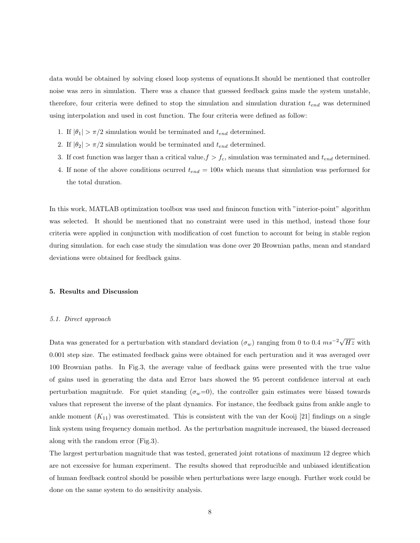data would be obtained by solving closed loop systems of equations.It should be mentioned that controller noise was zero in simulation. There was a chance that guessed feedback gains made the system unstable, therefore, four criteria were defined to stop the simulation and simulation duration  $t_{end}$  was determined using interpolation and used in cost function. The four criteria were defined as follow:

- 1. If  $|\theta_1| > \pi/2$  simulation would be terminated and  $t_{end}$  determined.
- 2. If  $|\theta_2| > \pi/2$  simulation would be terminated and  $t_{end}$  determined.
- 3. If cost function was larger than a critical value,  $f > f_c$ , simulation was terminated and  $t_{end}$  determined.
- 4. If none of the above conditions ocurred  $t_{end} = 100s$  which means that simulation was performed for the total duration.

In this work, MATLAB optimization toolbox was used and fmincon function with "interior-point" algorithm was selected. It should be mentioned that no constraint were used in this method, instead those four criteria were applied in conjunction with modification of cost function to account for being in stable region during simulation. for each case study the simulation was done over 20 Brownian paths, mean and standard deviations were obtained for feedback gains.

## 5. Results and Discussion

#### 5.1. Direct approach

Data was generated for a perturbation with standard deviation  $(\sigma_w)$  ranging from 0 to 0.4  $ms^{-2}$  $\sqrt$  $Hz$  with 0.001 step size. The estimated feedback gains were obtained for each perturation and it was averaged over 100 Brownian paths. In Fig.3, the average value of feedback gains were presented with the true value of gains used in generating the data and Error bars showed the 95 percent confidence interval at each perturbation magnitude. For quiet standing  $(\sigma_w=0)$ , the controller gain estimates were biased towards values that represent the inverse of the plant dynamics. For instance, the feedback gains from ankle angle to ankle moment  $(K_{11})$  was overestimated. This is consistent with the van der Kooij [21] findings on a single link system using frequency domain method. As the perturbation magnitude increased, the biased decreased along with the random error (Fig.3).

The largest perturbation magnitude that was tested, generated joint rotations of maximum 12 degree which are not excessive for human experiment. The results showed that reproducible and unbiased identification of human feedback control should be possible when perturbations were large enough. Further work could be done on the same system to do sensitivity analysis.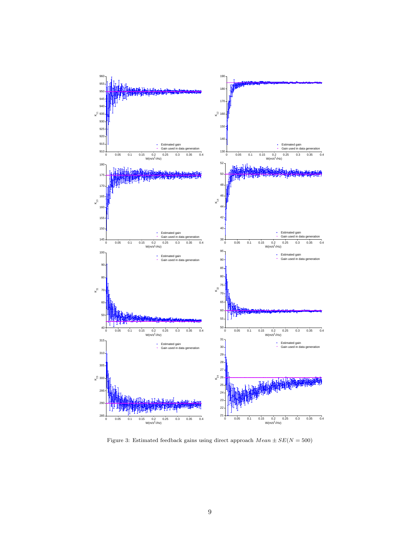

Figure 3: Estimated feedback gains using direct approach  $Mean \pm SE(N=500)$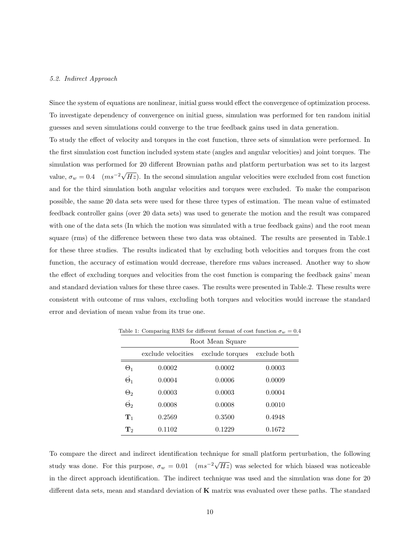#### 5.2. Indirect Approach

Since the system of equations are nonlinear, initial guess would effect the convergence of optimization process. To investigate dependency of convergence on initial guess, simulation was performed for ten random initial guesses and seven simulations could converge to the true feedback gains used in data generation.

To study the effect of velocity and torques in the cost function, three sets of simulation were performed. In the first simulation cost function included system state (angles and angular velocities) and joint torques. The simulation was performed for 20 different Brownian paths and platform perturbation was set to its largest value,  $\sigma_w = 0.4 \quad (ms^{-2}\sqrt{3})$  $Hz$ ). In the second simulation angular velocities were excluded from cost function and for the third simulation both angular velocities and torques were excluded. To make the comparison possible, the same 20 data sets were used for these three types of estimation. The mean value of estimated feedback controller gains (over 20 data sets) was used to generate the motion and the result was compared with one of the data sets (In which the motion was simulated with a true feedback gains) and the root mean square (rms) of the difference between these two data was obtained. The results are presented in Table.1 for these three studies. The results indicated that by excluding both velocities and torques from the cost function, the accuracy of estimation would decrease, therefore rms values increased. Another way to show the effect of excluding torques and velocities from the cost function is comparing the feedback gains' mean and standard deviation values for these three cases. The results were presented in Table.2. These results were consistent with outcome of rms values, excluding both torques and velocities would increase the standard error and deviation of mean value from its true one.

|                  | Root Mean Square   |                 |              |  |
|------------------|--------------------|-----------------|--------------|--|
|                  | exclude velocities | exclude torques | exclude both |  |
| $\Theta_1$       | 0.0002             | 0.0002          | 0.0003       |  |
| $\dot{\Theta}_1$ | 0.0004             | 0.0006          | 0.0009       |  |
| $\Theta_2$       | 0.0003             | 0.0003          | 0.0004       |  |
| $\vec{\Theta}_2$ | 0.0008             | 0.0008          | 0.0010       |  |
| $\mathbf{T}_1$   | 0.2569             | 0.3500          | 0.4948       |  |
| $\mathbf{T}_2$   | 0.1102             | 0.1229          | 0.1672       |  |

Table 1: Comparing RMS for different format of cost function  $\sigma_w = 0.4$ 

To compare the direct and indirect identification technique for small platform perturbation, the following study was done. For this purpose,  $\sigma_w = 0.01$   $(ms^{-2}\sqrt{})$  $Hz$ ) was selected for which biased was noticeable in the direct approach identification. The indirect technique was used and the simulation was done for 20 different data sets, mean and standard deviation of K matrix was evaluated over these paths. The standard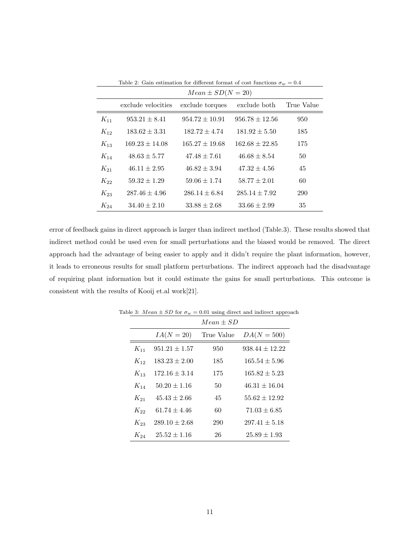|          | $Mean \pm SD(N = 20)$ |                    |                    |            |  |  |
|----------|-----------------------|--------------------|--------------------|------------|--|--|
|          | exclude velocities    | exclude torques    | exclude both       | True Value |  |  |
| $K_{11}$ | $953.21 \pm 8.41$     | $954.72 \pm 10.91$ | $956.78 \pm 12.56$ | 950        |  |  |
| $K_{12}$ | $183.62 \pm 3.31$     | $182.72 \pm 4.74$  | $181.92 \pm 5.50$  | 185        |  |  |
| $K_{13}$ | $169.23 \pm 14.08$    | $165.27 \pm 19.68$ | $162.68 \pm 22.85$ | 175        |  |  |
| $K_{14}$ | $48.63 \pm 5.77$      | $47.48 \pm 7.61$   | $46.68 \pm 8.54$   | 50         |  |  |
| $K_{21}$ | $46.11 \pm 2.95$      | $46.82 \pm 3.94$   | $47.32 \pm 4.56$   | 45         |  |  |
| $K_{22}$ | $59.32 \pm 1.29$      | $59.06 \pm 1.74$   | $58.77 \pm 2.01$   | 60         |  |  |
| $K_{23}$ | $287.46 \pm 4.96$     | $286.14 \pm 6.84$  | $285.14 \pm 7.92$  | 290        |  |  |
| $K_{24}$ | $34.40 \pm 2.10$      | $33.88 \pm 2.68$   | $33.66 \pm 2.99$   | 35         |  |  |

Table 2: Gain estimation for different format of cost functions  $\sigma_w = 0.4$ 

error of feedback gains in direct approach is larger than indirect method (Table.3). These results showed that indirect method could be used even for small perturbations and the biased would be removed. The direct approach had the advantage of being easier to apply and it didn't require the plant information, however, it leads to erroneous results for small platform perturbations. The indirect approach had the disadvantage of requiring plant information but it could estimate the gains for small perturbations. This outcome is consistent with the results of Kooij et.al work[21].

|          |                   | $Mean + SD$ |                    |
|----------|-------------------|-------------|--------------------|
|          | $IA(N=20)$        | True Value  | $DA(N=500)$        |
| $K_{11}$ | $951.21 \pm 1.57$ | 950         | $938.44 \pm 12.22$ |
| $K_{12}$ | $183.23 \pm 2.00$ | 185         | $165.54 \pm 5.96$  |
| $K_{13}$ | $172.16 \pm 3.14$ | 175         | $165.82 \pm 5.23$  |
| $K_{14}$ | $50.20 \pm 1.16$  | 50          | $46.31 \pm 16.04$  |
| $K_{21}$ | $45.43 + 2.66$    | 45          | $55.62 \pm 12.92$  |
| $K_{22}$ | $61.74 + 4.46$    | 60          | $71.03 \pm 6.85$   |
| $K_{23}$ | $289.10 \pm 2.68$ | 290         | $297.41 \pm 5.18$  |
| $K_{24}$ | $25.52 + 1.16$    | 26          | $25.89 + 1.93$     |

Table 3:  $Mean \pm SD$  for  $\sigma_w=0.01$  using direct and indirect approach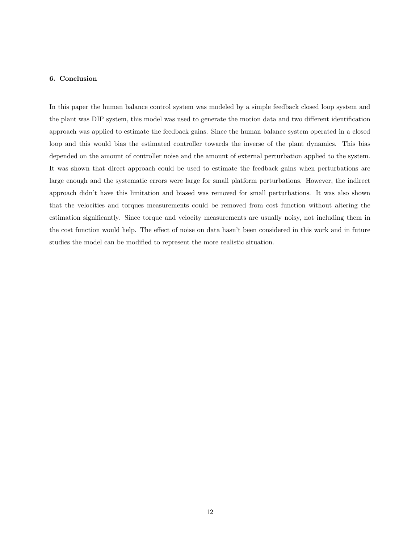## 6. Conclusion

In this paper the human balance control system was modeled by a simple feedback closed loop system and the plant was DIP system, this model was used to generate the motion data and two different identification approach was applied to estimate the feedback gains. Since the human balance system operated in a closed loop and this would bias the estimated controller towards the inverse of the plant dynamics. This bias depended on the amount of controller noise and the amount of external perturbation applied to the system. It was shown that direct approach could be used to estimate the feedback gains when perturbations are large enough and the systematic errors were large for small platform perturbations. However, the indirect approach didn't have this limitation and biased was removed for small perturbations. It was also shown that the velocities and torques measurements could be removed from cost function without altering the estimation significantly. Since torque and velocity measurements are usually noisy, not including them in the cost function would help. The effect of noise on data hasn't been considered in this work and in future studies the model can be modified to represent the more realistic situation.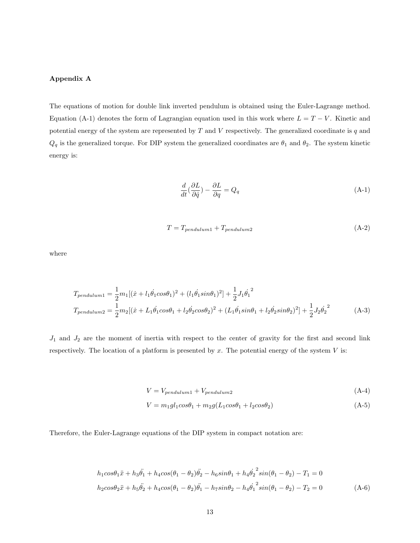# Appendix A

The equations of motion for double link inverted pendulum is obtained using the Euler-Lagrange method. Equation (A-1) denotes the form of Lagrangian equation used in this work where  $L = T - V$ . Kinetic and potential energy of the system are represented by  $T$  and  $V$  respectively. The generalized coordinate is  $q$  and  $Q_q$  is the generalized torque. For DIP system the generalized coordinates are  $\theta_1$  and  $\theta_2$ . The system kinetic energy is:

$$
\frac{d}{dt}(\frac{\partial L}{\partial \dot{q}}) - \frac{\partial L}{\partial q} = Q_q \tag{A-1}
$$

$$
T = T_{pendulum1} + T_{pendulum2}
$$
\n(A-2)

where

$$
T_{pendulum1} = \frac{1}{2}m_1[(\dot{x} + l_1\dot{\theta}_1\cos\theta_1)^2 + (l_1\dot{\theta}_1\sin\theta_1)^2] + \frac{1}{2}J_1\dot{\theta}_1^2
$$
  
\n
$$
T_{pendulum2} = \frac{1}{2}m_2[(\dot{x} + L_1\dot{\theta}_1\cos\theta_1 + l_2\dot{\theta}_2\cos\theta_2)^2 + (L_1\dot{\theta}_1\sin\theta_1 + l_2\dot{\theta}_2\sin\theta_2)^2] + \frac{1}{2}J_2\dot{\theta}_2^2
$$
 (A-3)

 $J_1$  and  $J_2$  are the moment of inertia with respect to the center of gravity for the first and second link respectively. The location of a platform is presented by  $x$ . The potential energy of the system  $V$  is:

$$
V = V_{pendulum1} + V_{pendulum2}
$$
\n(A-4)

$$
V = m_1 g l_1 cos\theta_1 + m_2 g (L_1 cos\theta_1 + l_2 cos\theta_2)
$$
 (A-5)

Therefore, the Euler-Lagrange equations of the DIP system in compact notation are:

$$
h_1 \cos\theta_1 \ddot{x} + h_3 \ddot{\theta_1} + h_4 \cos(\theta_1 - \theta_2) \ddot{\theta_2} - h_6 \sin\theta_1 + h_4 \dot{\theta_2}^2 \sin(\theta_1 - \theta_2) - T_1 = 0
$$
  

$$
h_2 \cos\theta_2 \ddot{x} + h_5 \ddot{\theta_2} + h_4 \cos(\theta_1 - \theta_2) \ddot{\theta_1} - h_7 \sin\theta_2 - h_4 \dot{\theta_1}^2 \sin(\theta_1 - \theta_2) - T_2 = 0
$$
 (A-6)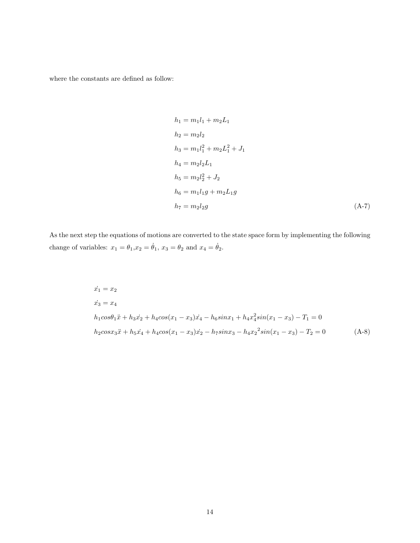where the constants are defined as follow:

$$
h_1 = m_1 l_1 + m_2 L_1
$$
  
\n
$$
h_2 = m_2 l_2
$$
  
\n
$$
h_3 = m_1 l_1^2 + m_2 L_1^2 + J_1
$$
  
\n
$$
h_4 = m_2 l_2 L_1
$$
  
\n
$$
h_5 = m_2 l_2^2 + J_2
$$
  
\n
$$
h_6 = m_1 l_1 g + m_2 L_1 g
$$
  
\n
$$
h_7 = m_2 l_2 g
$$
\n(A-7)

As the next step the equations of motions are converted to the state space form by implementing the following change of variables:  $x_1 = \theta_1, x_2 = \dot{\theta}_1, x_3 = \theta_2$  and  $x_4 = \dot{\theta}_2$ .

$$
\begin{aligned}\n\dot{x}_1 &= x_2 \\
\dot{x}_3 &= x_4 \\
h_1 \cos \theta_1 \ddot{x} + h_3 \dot{x}_2 + h_4 \cos (x_1 - x_3) \dot{x}_4 - h_6 \sin x_1 + h_4 x_4^2 \sin (x_1 - x_3) - T_1 = 0 \\
h_2 \cos x_3 \ddot{x} + h_5 \dot{x}_4 + h_4 \cos (x_1 - x_3) \dot{x}_2 - h_7 \sin x_3 - h_4 x_2^2 \sin (x_1 - x_3) - T_2 = 0\n\end{aligned} \tag{A-8}
$$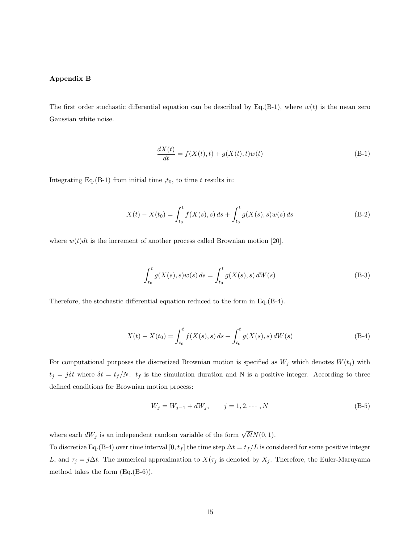# Appendix B

The first order stochastic differential equation can be described by Eq.(B-1), where  $w(t)$  is the mean zero Gaussian white noise.

$$
\frac{dX(t)}{dt} = f(X(t), t) + g(X(t), t)w(t)
$$
\n(B-1)

Integrating Eq.(B-1) from initial time  $,t_0$ , to time t results in:

$$
X(t) - X(t_0) = \int_{t_0}^t f(X(s), s) ds + \int_{t_0}^t g(X(s), s) w(s) ds
$$
 (B-2)

where  $w(t)dt$  is the increment of another process called Brownian motion [20].

$$
\int_{t_0}^t g(X(s), s)w(s) ds = \int_{t_0}^t g(X(s), s) dW(s)
$$
 (B-3)

Therefore, the stochastic differential equation reduced to the form in Eq.(B-4).

$$
X(t) - X(t_0) = \int_{t_0}^t f(X(s), s) ds + \int_{t_0}^t g(X(s), s) dW(s)
$$
 (B-4)

For computational purposes the discretized Brownian motion is specified as  $W_j$  which denotes  $W(t_j)$  with  $t_j = j\delta t$  where  $\delta t = t_f/N$ .  $t_f$  is the simulation duration and N is a positive integer. According to three defined conditions for Brownian motion process:

$$
W_j = W_{j-1} + dW_j, \qquad j = 1, 2, \cdots, N
$$
 (B-5)

where each  $dW_j$  is an independent random variable of the form  $\sqrt{\delta t}N(0, 1)$ .

To discretize Eq.(B-4) over time interval [0,  $t_f$ ] the time step  $\Delta t = t_f/L$  is considered for some positive integer L, and  $\tau_j = j\Delta t$ . The numerical approximation to  $X(\tau_j)$  is denoted by  $X_j$ . Therefore, the Euler-Maruyama method takes the form (Eq.(B-6)).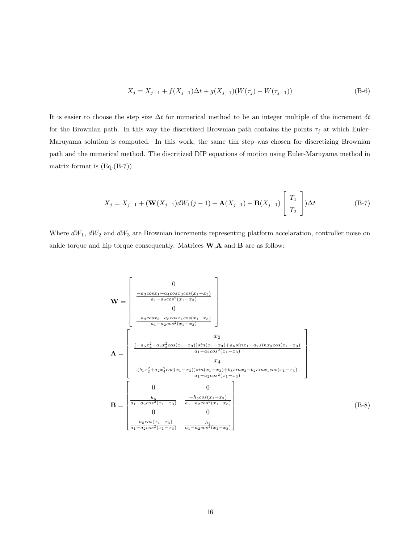$$
X_j = X_{j-1} + f(X_{j-1})\Delta t + g(X_{j-1})(W(\tau_j) - W(\tau_{j-1}))
$$
\n(B-6)

It is easier to choose the step size  $\Delta t$  for numerical method to be an integer multiple of the increment  $\delta t$ for the Brownian path. In this way the discretized Brownian path contains the points  $\tau_j$  at which Euler-Maruyama solution is computed. In this work, the same tim step was chosen for discretizing Brownian path and the numerical method. The discritized DIP equations of motion using Euler-Maruyama method in matrix format is (Eq.(B-7))

$$
X_j = X_{j-1} + (\mathbf{W}(X_{j-1})dW_1(j-1) + \mathbf{A}(X_{j-1}) + \mathbf{B}(X_{j-1})\begin{bmatrix} T_1 \ T_2 \end{bmatrix})\Delta t
$$
 (B-7)

Where  $dW_1$ ,  $dW_2$  and  $dW_3$  are Brownian increments representing platform accelaration, controller noise on ankle torque and hip torque consequently. Matrices  $\mathbf{W},\mathbf{A}$  and  $\mathbf{B}$  are as follow:

$$
\mathbf{W} = \begin{bmatrix}\n0 \\
\frac{-a_3 \cos x_1 + a_4 \cos x_3 \cos(x_1 - x_3)}{a_1 - a_2 \cos^2(x_1 - x_3)} \\
0 \\
\frac{-a_9 \cos x_3 + a_8 \cos x_1 \cos(x_1 - x_3)}{a_1 - a_2 \cos^2(x_1 - x_3)}\n\end{bmatrix}
$$
\n
$$
\mathbf{A} = \begin{bmatrix}\nx_2 \\
\frac{(-a_5 x_4^2 - a_2 x_2^2 \cos(x_1 - x_3)) \sin(x_1 - x_3) + a_6 \sin x_1 - a_7 \sin x_3 \cos(x_1 - x_3)}{a_1 - a_2 \cos^2(x_1 - x_3)} \\
\frac{(b_1 x_2^2 + a_2 x_4^2 \cos(x_1 - x_3)) \sin(x_1 - x_3) + b_3 \sin x_3 - b_2 \sin x_1 \cos(x_1 - x_3)}{a_1 - a_2 \cos^2(x_1 - x_3)} \\
\frac{b_6}{a_1 - a_2 \cos^2(x_1 - x_3)}\n\end{bmatrix}
$$
\n
$$
\mathbf{B} = \begin{bmatrix}\n0 & 0 \\
\frac{h_6}{a_1 - a_2 \cos^2(x_1 - x_3)} & \frac{-h_5 \cos(x_1 - x_3)}{a_1 - a_2 \cos^2(x_1 - x_3)} \\
0 & 0 \\
\frac{-h_5 \cos(x_1 - x_3)}{a_1 - a_2 \cos^2(x_1 - x_3)} & \frac{h_4}{a_1 - a_2 \cos^2(x_1 - x_3)}\n\end{bmatrix}
$$
\n(B-8)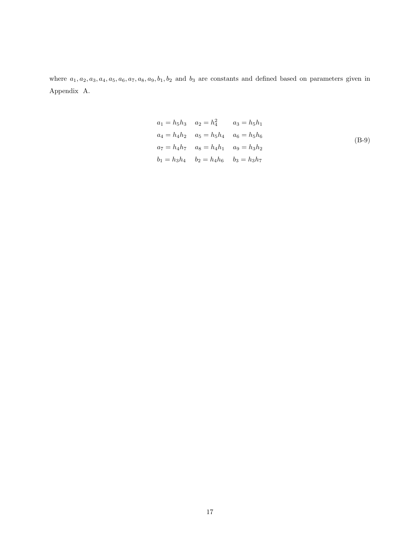where  $a_1, a_2, a_3, a_4, a_5, a_6, a_7, a_8, a_9, b_1, b_2$  and  $b_3$  are constants and defined based on parameters given in Appendix A.

$$
a_1 = h_5 h_3 \t a_2 = h_4^2 \t a_3 = h_5 h_1
$$
  
\n
$$
a_4 = h_4 h_2 \t a_5 = h_5 h_4 \t a_6 = h_5 h_6
$$
  
\n
$$
a_7 = h_4 h_7 \t a_8 = h_4 h_1 \t a_9 = h_3 h_2
$$
  
\n
$$
b_1 = h_3 h_4 \t b_2 = h_4 h_6 \t b_3 = h_3 h_7
$$
  
\n(B-9)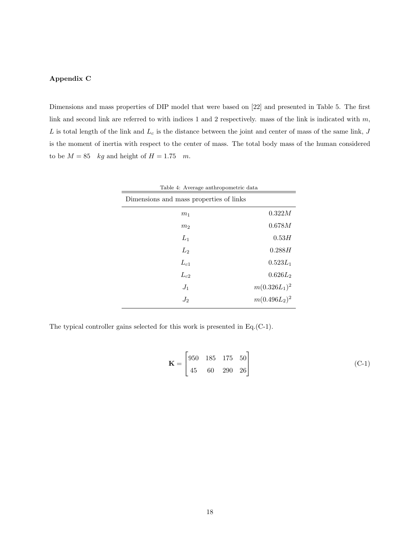# Appendix C

Dimensions and mass properties of DIP model that were based on [22] and presented in Table 5. The first link and second link are referred to with indices 1 and 2 respectively. mass of the link is indicated with  $m$ ,  $L$  is total length of the link and  $L_c$  is the distance between the joint and center of mass of the same link,  $J$ is the moment of inertia with respect to the center of mass. The total body mass of the human considered to be  $M = 85$  kg and height of  $H = 1.75$  m.

| Table 4: Average anthropometric data    |                 |  |  |  |
|-----------------------------------------|-----------------|--|--|--|
| Dimensions and mass properties of links |                 |  |  |  |
| m <sub>1</sub>                          | 0.322M          |  |  |  |
| m <sub>2</sub>                          | 0.678M          |  |  |  |
| $L_1$                                   | 0.53H           |  |  |  |
| $L_2$                                   | 0.288H          |  |  |  |
| $L_{c1}$                                | $0.523L_1$      |  |  |  |
| $L_{c2}$                                | $0.626L_2$      |  |  |  |
| $J_1$                                   | $m(0.326L_1)^2$ |  |  |  |
| $J_2$                                   | $m(0.496L_2)^2$ |  |  |  |

The typical controller gains selected for this work is presented in Eq.(C-1).

$$
\mathbf{K} = \begin{bmatrix} 950 & 185 & 175 & 50 \\ 45 & 60 & 290 & 26 \end{bmatrix}
$$
 (C-1)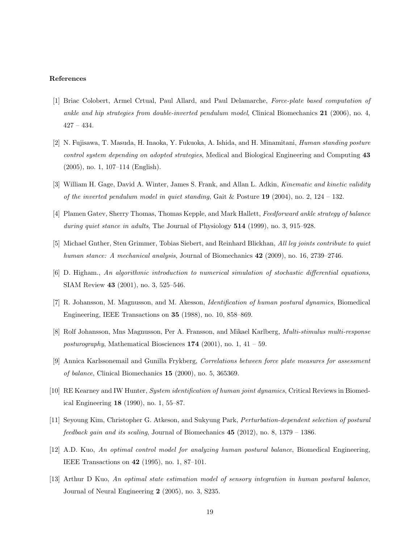#### References

- [1] Briac Colobert, Armel Crtual, Paul Allard, and Paul Delamarche, Force-plate based computation of ankle and hip strategies from double-inverted pendulum model, Clinical Biomechanics  $21$  (2006), no. 4, 427 – 434.
- [2] N. Fujisawa, T. Masuda, H. Inaoka, Y. Fukuoka, A. Ishida, and H. Minamitani, Human standing posture control system depending on adopted strategies, Medical and Biological Engineering and Computing 43 (2005), no. 1, 107–114 (English).
- [3] William H. Gage, David A. Winter, James S. Frank, and Allan L. Adkin, *Kinematic and kinetic validity* of the inverted pendulum model in quiet standing, Gait & Posture 19 (2004), no. 2, 124 – 132.
- [4] Plamen Gatev, Sherry Thomas, Thomas Kepple, and Mark Hallett, Feedforward ankle strategy of balance during quiet stance in adults, The Journal of Physiology 514 (1999), no. 3, 915–928.
- [5] Michael Gnther, Sten Grimmer, Tobias Siebert, and Reinhard Blickhan, All leg joints contribute to quiet human stance: A mechanical analysis, Journal of Biomechanics 42 (2009), no. 16, 2739–2746.
- [6] D. Higham., An algorithmic introduction to numerical simulation of stochastic differential equations, SIAM Review 43 (2001), no. 3, 525–546.
- [7] R. Johansson, M. Magnusson, and M. Akesson, Identification of human postural dynamics, Biomedical Engineering, IEEE Transactions on 35 (1988), no. 10, 858–869.
- [8] Rolf Johansson, Mns Magnusson, Per A. Fransson, and Mikael Karlberg, Multi-stimulus multi-response posturography, Mathematical Biosciences  $174$  (2001), no. 1, 41 – 59.
- [9] Annica Karlssonemail and Gunilla Frykberg, Correlations between force plate measures for assessment of balance, Clinical Biomechanics 15 (2000), no. 5, 365369.
- [10] RE Kearney and IW Hunter, System identification of human joint dynamics, Critical Reviews in Biomedical Engineering 18 (1990), no. 1, 55–87.
- [11] Seyoung Kim, Christopher G. Atkeson, and Sukyung Park, Perturbation-dependent selection of postural *feedback gain and its scaling*, Journal of Biomechanics  $45$  (2012), no. 8, 1379 – 1386.
- [12] A.D. Kuo, An optimal control model for analyzing human postural balance, Biomedical Engineering, IEEE Transactions on 42 (1995), no. 1, 87–101.
- [13] Arthur D Kuo, An optimal state estimation model of sensory integration in human postural balance, Journal of Neural Engineering 2 (2005), no. 3, S235.